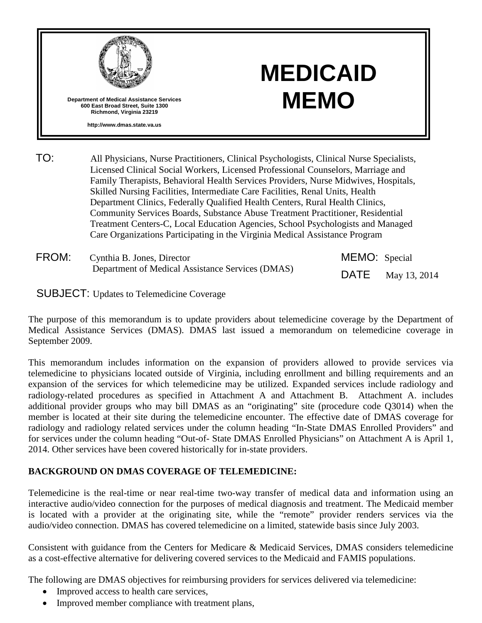

# **MEDICAID MEMO**

TO: All Physicians, Nurse Practitioners, Clinical Psychologists, Clinical Nurse Specialists, Licensed Clinical Social Workers, Licensed Professional Counselors, Marriage and Family Therapists, Behavioral Health Services Providers, Nurse Midwives, Hospitals, Skilled Nursing Facilities, Intermediate Care Facilities, Renal Units, Health Department Clinics, Federally Qualified Health Centers, Rural Health Clinics, Community Services Boards, Substance Abuse Treatment Practitioner, Residential Treatment Centers-C, Local Education Agencies, School Psychologists and Managed Care Organizations Participating in the Virginia Medical Assistance Program

| FROM: | Cynthia B. Jones, Director                       | MEMO: Special |                          |
|-------|--------------------------------------------------|---------------|--------------------------|
|       | Department of Medical Assistance Services (DMAS) |               | <b>DATE</b> May 13, 2014 |

SUBJECT: Updates to Telemedicine Coverage

The purpose of this memorandum is to update providers about telemedicine coverage by the Department of Medical Assistance Services (DMAS). DMAS last issued a memorandum on telemedicine coverage in September 2009.

This memorandum includes information on the expansion of providers allowed to provide services via telemedicine to physicians located outside of Virginia, including enrollment and billing requirements and an expansion of the services for which telemedicine may be utilized. Expanded services include radiology and radiology-related procedures as specified in Attachment A and Attachment B. Attachment A. includes additional provider groups who may bill DMAS as an "originating" site (procedure code Q3014) when the member is located at their site during the telemedicine encounter. The effective date of DMAS coverage for radiology and radiology related services under the column heading "In-State DMAS Enrolled Providers" and for services under the column heading "Out-of- State DMAS Enrolled Physicians" on Attachment A is April 1, 2014. Other services have been covered historically for in-state providers.

## **BACKGROUND ON DMAS COVERAGE OF TELEMEDICINE:**

Telemedicine is the real-time or near real-time two-way transfer of medical data and information using an interactive audio/video connection for the purposes of medical diagnosis and treatment. The Medicaid member is located with a provider at the originating site, while the "remote" provider renders services via the audio/video connection. DMAS has covered telemedicine on a limited, statewide basis since July 2003.

Consistent with guidance from the Centers for Medicare & Medicaid Services, DMAS considers telemedicine as a cost-effective alternative for delivering covered services to the Medicaid and FAMIS populations.

The following are DMAS objectives for reimbursing providers for services delivered via telemedicine:

- Improved access to health care services,
- Improved member compliance with treatment plans,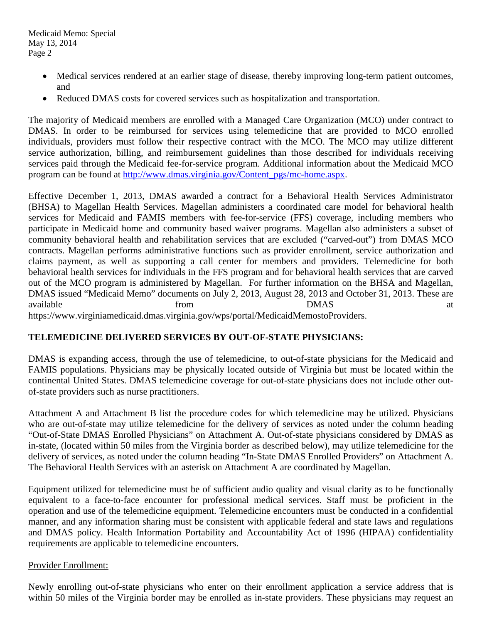- Medical services rendered at an earlier stage of disease, thereby improving long-term patient outcomes, and
- Reduced DMAS costs for covered services such as hospitalization and transportation.

The majority of Medicaid members are enrolled with a Managed Care Organization (MCO) under contract to DMAS. In order to be reimbursed for services using telemedicine that are provided to MCO enrolled individuals, providers must follow their respective contract with the MCO. The MCO may utilize different service authorization, billing, and reimbursement guidelines than those described for individuals receiving services paid through the Medicaid fee-for-service program. Additional information about the Medicaid MCO program can be found at [http://www.dmas.virginia.gov/Content\\_pgs/mc-home.aspx.](http://www.dmas.virginia.gov/Content_pgs/mc-home.aspx)

Effective December 1, 2013, DMAS awarded a contract for a Behavioral Health Services Administrator (BHSA) to Magellan Health Services. Magellan administers a coordinated care model for behavioral health services for Medicaid and FAMIS members with fee-for-service (FFS) coverage, including members who participate in Medicaid home and community based waiver programs. Magellan also administers a subset of community behavioral health and rehabilitation services that are excluded ("carved-out") from DMAS MCO contracts. Magellan performs administrative functions such as provider enrollment, service authorization and claims payment, as well as supporting a call center for members and providers. Telemedicine for both behavioral health services for individuals in the FFS program and for behavioral health services that are carved out of the MCO program is administered by Magellan. For further information on the BHSA and Magellan, DMAS issued "Medicaid Memo" documents on July 2, 2013, August 28, 2013 and October 31, 2013. These are available **from** from DMAS at https://www.virginiamedicaid.dmas.virginia.gov/wps/portal/MedicaidMemostoProviders.

## **TELEMEDICINE DELIVERED SERVICES BY OUT-OF-STATE PHYSICIANS:**

DMAS is expanding access, through the use of telemedicine, to out-of-state physicians for the Medicaid and FAMIS populations. Physicians may be physically located outside of Virginia but must be located within the continental United States. DMAS telemedicine coverage for out-of-state physicians does not include other outof-state providers such as nurse practitioners.

Attachment A and Attachment B list the procedure codes for which telemedicine may be utilized. Physicians who are out-of-state may utilize telemedicine for the delivery of services as noted under the column heading "Out-of-State DMAS Enrolled Physicians" on Attachment A. Out-of-state physicians considered by DMAS as in-state, (located within 50 miles from the Virginia border as described below), may utilize telemedicine for the delivery of services, as noted under the column heading "In-State DMAS Enrolled Providers" on Attachment A. The Behavioral Health Services with an asterisk on Attachment A are coordinated by Magellan.

Equipment utilized for telemedicine must be of sufficient audio quality and visual clarity as to be functionally equivalent to a face-to-face encounter for professional medical services. Staff must be proficient in the operation and use of the telemedicine equipment. Telemedicine encounters must be conducted in a confidential manner, and any information sharing must be consistent with applicable federal and state laws and regulations and DMAS policy. Health Information Portability and Accountability Act of 1996 (HIPAA) confidentiality requirements are applicable to telemedicine encounters.

#### Provider Enrollment:

Newly enrolling out-of-state physicians who enter on their enrollment application a service address that is within 50 miles of the Virginia border may be enrolled as in-state providers. These physicians may request an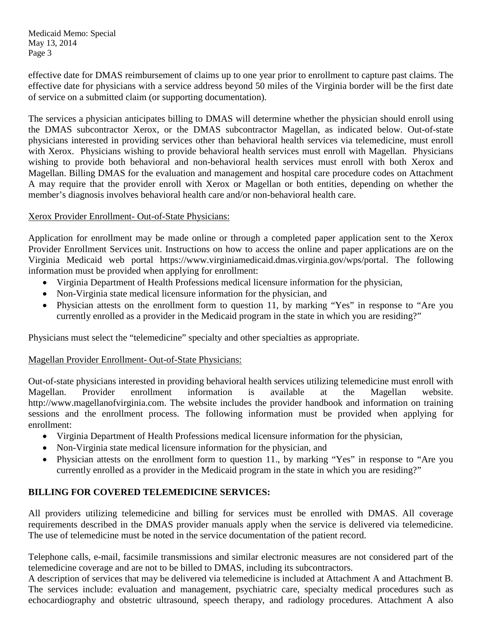Medicaid Memo: Special May 13, 2014 Page 3

effective date for DMAS reimbursement of claims up to one year prior to enrollment to capture past claims. The effective date for physicians with a service address beyond 50 miles of the Virginia border will be the first date of service on a submitted claim (or supporting documentation).

The services a physician anticipates billing to DMAS will determine whether the physician should enroll using the DMAS subcontractor Xerox, or the DMAS subcontractor Magellan, as indicated below. Out-of-state physicians interested in providing services other than behavioral health services via telemedicine, must enroll with Xerox. Physicians wishing to provide behavioral health services must enroll with Magellan. Physicians wishing to provide both behavioral and non-behavioral health services must enroll with both Xerox and Magellan. Billing DMAS for the evaluation and management and hospital care procedure codes on Attachment A may require that the provider enroll with Xerox or Magellan or both entities, depending on whether the member's diagnosis involves behavioral health care and/or non-behavioral health care.

## Xerox Provider Enrollment- Out-of-State Physicians:

Application for enrollment may be made online or through a completed paper application sent to the Xerox Provider Enrollment Services unit. Instructions on how to access the online and paper applications are on the Virginia Medicaid web portal https://www.virginiamedicaid.dmas.virginia.gov/wps/portal. The following information must be provided when applying for enrollment:

- Virginia Department of Health Professions medical licensure information for the physician,
- Non-Virginia state medical licensure information for the physician, and
- Physician attests on the enrollment form to question 11, by marking "Yes" in response to "Are you currently enrolled as a provider in the Medicaid program in the state in which you are residing?"

Physicians must select the "telemedicine" specialty and other specialties as appropriate.

## Magellan Provider Enrollment- Out-of-State Physicians:

Out-of-state physicians interested in providing behavioral health services utilizing telemedicine must enroll with Magellan. Provider enrollment information is available at the Magellan website. http://www.magellanofvirginia.com. The website includes the provider handbook and information on training sessions and the enrollment process. The following information must be provided when applying for enrollment:

- Virginia Department of Health Professions medical licensure information for the physician,
- Non-Virginia state medical licensure information for the physician, and
- Physician attests on the enrollment form to question 11., by marking "Yes" in response to "Are you currently enrolled as a provider in the Medicaid program in the state in which you are residing?"

## **BILLING FOR COVERED TELEMEDICINE SERVICES:**

All providers utilizing telemedicine and billing for services must be enrolled with DMAS. All coverage requirements described in the DMAS provider manuals apply when the service is delivered via telemedicine. The use of telemedicine must be noted in the service documentation of the patient record.

Telephone calls, e-mail, facsimile transmissions and similar electronic measures are not considered part of the telemedicine coverage and are not to be billed to DMAS, including its subcontractors.

A description of services that may be delivered via telemedicine is included at Attachment A and Attachment B. The services include: evaluation and management, psychiatric care, specialty medical procedures such as echocardiography and obstetric ultrasound, speech therapy, and radiology procedures. Attachment A also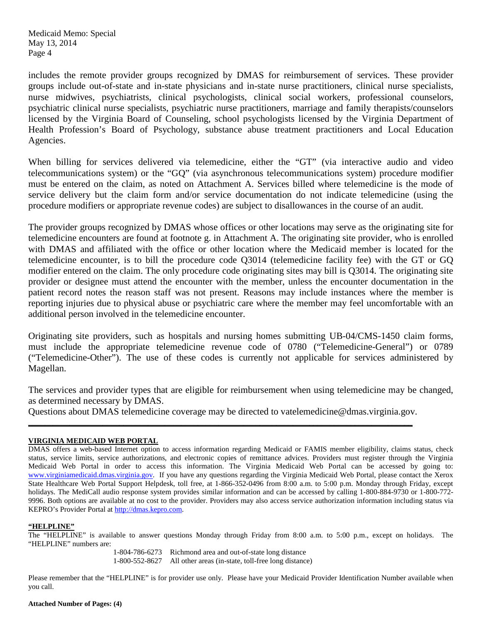Medicaid Memo: Special May 13, 2014 Page 4

includes the remote provider groups recognized by DMAS for reimbursement of services. These provider groups include out-of-state and in-state physicians and in-state nurse practitioners, clinical nurse specialists, nurse midwives, psychiatrists, clinical psychologists, clinical social workers, professional counselors, psychiatric clinical nurse specialists, psychiatric nurse practitioners, marriage and family therapists/counselors licensed by the Virginia Board of Counseling, school psychologists licensed by the Virginia Department of Health Profession's Board of Psychology, substance abuse treatment practitioners and Local Education Agencies.

When billing for services delivered via telemedicine, either the "GT" (via interactive audio and video telecommunications system) or the "GQ" (via asynchronous telecommunications system) procedure modifier must be entered on the claim, as noted on Attachment A. Services billed where telemedicine is the mode of service delivery but the claim form and/or service documentation do not indicate telemedicine (using the procedure modifiers or appropriate revenue codes) are subject to disallowances in the course of an audit.

The provider groups recognized by DMAS whose offices or other locations may serve as the originating site for telemedicine encounters are found at footnote g. in Attachment A. The originating site provider, who is enrolled with DMAS and affiliated with the office or other location where the Medicaid member is located for the telemedicine encounter, is to bill the procedure code Q3014 (telemedicine facility fee) with the GT or GQ modifier entered on the claim. The only procedure code originating sites may bill is Q3014. The originating site provider or designee must attend the encounter with the member, unless the encounter documentation in the patient record notes the reason staff was not present. Reasons may include instances where the member is reporting injuries due to physical abuse or psychiatric care where the member may feel uncomfortable with an additional person involved in the telemedicine encounter.

Originating site providers, such as hospitals and nursing homes submitting UB-04/CMS-1450 claim forms, must include the appropriate telemedicine revenue code of 0780 ("Telemedicine-General") or 0789 ("Telemedicine-Other"). The use of these codes is currently not applicable for services administered by Magellan.

The services and provider types that are eligible for reimbursement when using telemedicine may be changed, as determined necessary by DMAS.

Questions about DMAS telemedicine coverage may be directed to vatelemedicine@dmas.virginia.gov. **\_\_\_\_\_\_\_\_\_\_\_\_\_\_\_\_\_\_\_\_\_\_\_\_\_\_\_\_\_\_\_\_\_\_\_\_\_\_\_\_\_\_\_\_\_\_\_\_\_\_\_\_\_\_\_\_\_\_\_\_\_\_\_\_\_\_\_\_\_\_\_\_\_\_\_\_\_\_\_\_\_\_\_\_\_\_\_\_\_\_\_\_\_**

#### **VIRGINIA MEDICAID WEB PORTAL**

DMAS offers a web-based Internet option to access information regarding Medicaid or FAMIS member eligibility, claims status, check status, service limits, service authorizations, and electronic copies of remittance advices. Providers must register through the Virginia Medicaid Web Portal in order to access this information. The Virginia Medicaid Web Portal can be accessed by going to: [www.virginiamedicaid.dmas.virginia.gov.](http://www.virginiamedicaid.dmas.virginia.gov/) If you have any questions regarding the Virginia Medicaid Web Portal, please contact the Xerox State Healthcare Web Portal Support Helpdesk, toll free, at 1-866-352-0496 from 8:00 a.m. to 5:00 p.m. Monday through Friday, except holidays. The MediCall audio response system provides similar information and can be accessed by calling 1-800-884-9730 or 1-800-772-9996. Both options are available at no cost to the provider. Providers may also access service authorization information including status via KEPRO's Provider Portal at [http://dmas.kepro.com.](http://dmas.kepro.com/)

#### **"HELPLINE"**

The "HELPLINE" is available to answer questions Monday through Friday from 8:00 a.m. to 5:00 p.m., except on holidays. The "HELPLINE" numbers are:

1-804-786-6273 Richmond area and out-of-state long distance 1-800-552-8627 All other areas (in-state, toll-free long distance)

Please remember that the "HELPLINE" is for provider use only. Please have your Medicaid Provider Identification Number available when you call.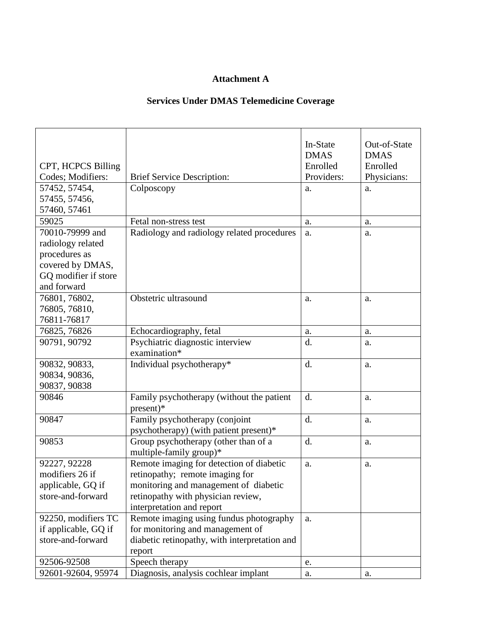## **Attachment A**

# **Services Under DMAS Telemedicine Coverage**

| CPT, HCPCS Billing<br>Codes; Modifiers: | <b>Brief Service Description:</b>             | In-State<br><b>DMAS</b><br>Enrolled<br>Providers: | Out-of-State<br><b>DMAS</b><br>Enrolled<br>Physicians: |
|-----------------------------------------|-----------------------------------------------|---------------------------------------------------|--------------------------------------------------------|
| 57452, 57454,                           | Colposcopy                                    | a.                                                | a.                                                     |
| 57455, 57456,                           |                                               |                                                   |                                                        |
| 57460, 57461                            |                                               |                                                   |                                                        |
| 59025                                   | Fetal non-stress test                         | a.                                                | a.                                                     |
| 70010-79999 and                         | Radiology and radiology related procedures    | a.                                                | a.                                                     |
|                                         |                                               |                                                   |                                                        |
| radiology related                       |                                               |                                                   |                                                        |
| procedures as                           |                                               |                                                   |                                                        |
| covered by DMAS,                        |                                               |                                                   |                                                        |
| GQ modifier if store                    |                                               |                                                   |                                                        |
| and forward                             |                                               |                                                   |                                                        |
| 76801, 76802,                           | Obstetric ultrasound                          | a.                                                | a.                                                     |
| 76805, 76810,                           |                                               |                                                   |                                                        |
| 76811-76817                             |                                               |                                                   |                                                        |
| 76825, 76826                            | Echocardiography, fetal                       | a.                                                | a.                                                     |
| 90791, 90792                            | Psychiatric diagnostic interview              | d.                                                | a.                                                     |
|                                         | examination*                                  |                                                   |                                                        |
| 90832, 90833,                           | Individual psychotherapy*                     | d.                                                | a.                                                     |
| 90834, 90836,                           |                                               |                                                   |                                                        |
| 90837, 90838                            |                                               |                                                   |                                                        |
| 90846                                   | Family psychotherapy (without the patient     | d.                                                | a.                                                     |
|                                         | $present)*$                                   |                                                   |                                                        |
| 90847                                   | Family psychotherapy (conjoint                | d.                                                | a.                                                     |
|                                         | psychotherapy) (with patient present)*        |                                                   |                                                        |
| 90853                                   | Group psychotherapy (other than of a          | d.                                                | a.                                                     |
|                                         | multiple-family group)*                       |                                                   |                                                        |
| 92227, 92228                            | Remote imaging for detection of diabetic      | a.                                                | a.                                                     |
| modifiers 26 if                         | retinopathy; remote imaging for               |                                                   |                                                        |
| applicable, GQ if                       | monitoring and management of diabetic         |                                                   |                                                        |
| store-and-forward                       | retinopathy with physician review,            |                                                   |                                                        |
|                                         |                                               |                                                   |                                                        |
|                                         | interpretation and report                     |                                                   |                                                        |
| 92250, modifiers TC                     | Remote imaging using fundus photography       | a.                                                |                                                        |
| if applicable, GQ if                    | for monitoring and management of              |                                                   |                                                        |
| store-and-forward                       | diabetic retinopathy, with interpretation and |                                                   |                                                        |
|                                         | report                                        |                                                   |                                                        |
| 92506-92508                             | Speech therapy                                | e.                                                |                                                        |
| 92601-92604, 95974                      | Diagnosis, analysis cochlear implant          | a.                                                | a.                                                     |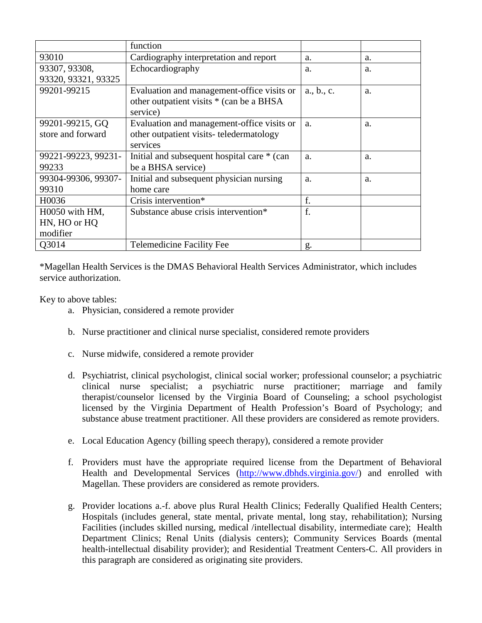|                     | function                                    |            |    |
|---------------------|---------------------------------------------|------------|----|
| 93010               | Cardiography interpretation and report      | a.         | a. |
| 93307, 93308,       | Echocardiography                            | a.         | a. |
| 93320, 93321, 93325 |                                             |            |    |
| 99201-99215         | Evaluation and management-office visits or  | a., b., c. | a. |
|                     | other outpatient visits * (can be a BHSA    |            |    |
|                     | service)                                    |            |    |
| 99201-99215, GQ     | Evaluation and management-office visits or  | a.         | a. |
| store and forward   | other outpatient visits-teledermatology     |            |    |
|                     | services                                    |            |    |
| 99221-99223, 99231- | Initial and subsequent hospital care * (can | a.         | a. |
| 99233               | be a BHSA service)                          |            |    |
| 99304-99306, 99307- | Initial and subsequent physician nursing    | a.         | a. |
| 99310               | home care                                   |            |    |
| H0036               | Crisis intervention*                        | f.         |    |
| $H0050$ with $HM$ , | Substance abuse crisis intervention*        | f.         |    |
| HN, HO or HQ        |                                             |            |    |
| modifier            |                                             |            |    |
| Q3014               | <b>Telemedicine Facility Fee</b>            | g.         |    |

\*Magellan Health Services is the DMAS Behavioral Health Services Administrator, which includes service authorization.

Key to above tables:

- a. Physician, considered a remote provider
- b. Nurse practitioner and clinical nurse specialist, considered remote providers
- c. Nurse midwife, considered a remote provider
- d. Psychiatrist, clinical psychologist, clinical social worker; professional counselor; a psychiatric clinical nurse specialist; a psychiatric nurse practitioner; marriage and family therapist/counselor licensed by the Virginia Board of Counseling; a school psychologist licensed by the Virginia Department of Health Profession's Board of Psychology; and substance abuse treatment practitioner. All these providers are considered as remote providers.
- e. Local Education Agency (billing speech therapy), considered a remote provider
- f. Providers must have the appropriate required license from the Department of Behavioral Health and Developmental Services [\(http://www.dbhds.virginia.gov/\)](http://www.dbhds.virginia.gov/) and enrolled with Magellan. These providers are considered as remote providers.
- g. Provider locations a.-f. above plus Rural Health Clinics; Federally Qualified Health Centers; Hospitals (includes general, state mental, private mental, long stay, rehabilitation); Nursing Facilities (includes skilled nursing, medical /intellectual disability, intermediate care); Health Department Clinics; Renal Units (dialysis centers); Community Services Boards (mental health-intellectual disability provider); and Residential Treatment Centers-C. All providers in this paragraph are considered as originating site providers.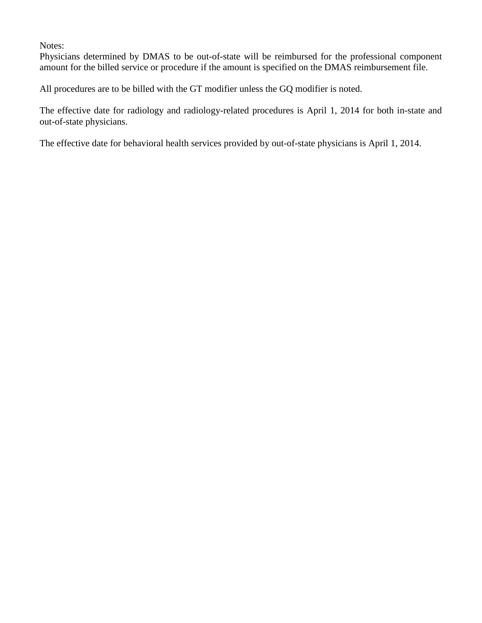## Notes:

Physicians determined by DMAS to be out-of-state will be reimbursed for the professional component amount for the billed service or procedure if the amount is specified on the DMAS reimbursement file.

All procedures are to be billed with the GT modifier unless the GQ modifier is noted.

The effective date for radiology and radiology-related procedures is April 1, 2014 for both in-state and out-of-state physicians.

The effective date for behavioral health services provided by out-of-state physicians is April 1, 2014.